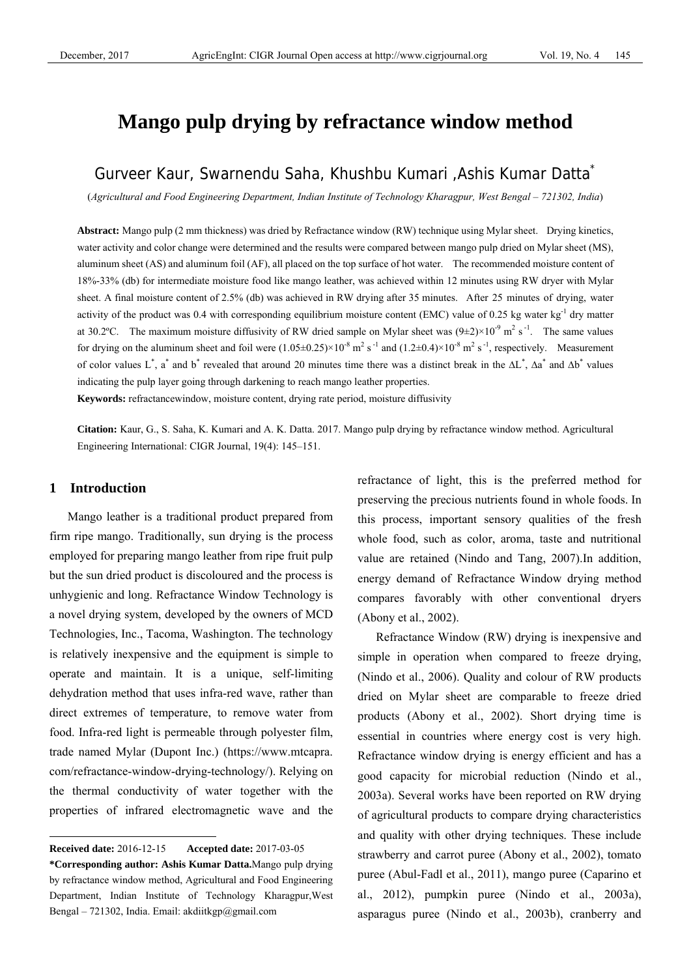# **Mango pulp drying by refractance window method**

## Gurveer Kaur, Swarnendu Saha, Khushbu Kumari ,Ashis Kumar Datta\*

(*Agricultural and Food Engineering Department, Indian Institute of Technology Kharagpur, West Bengal – 721302, India*)

**Abstract:** Mango pulp (2 mm thickness) was dried by Refractance window (RW) technique using Mylar sheet. Drying kinetics, water activity and color change were determined and the results were compared between mango pulp dried on Mylar sheet (MS), aluminum sheet (AS) and aluminum foil (AF), all placed on the top surface of hot water. The recommended moisture content of 18%-33% (db) for intermediate moisture food like mango leather, was achieved within 12 minutes using RW dryer with Mylar sheet. A final moisture content of 2.5% (db) was achieved in RW drying after 35 minutes. After 25 minutes of drying, water activity of the product was 0.4 with corresponding equilibrium moisture content (EMC) value of 0.25 kg water kg<sup>-1</sup> dry matter at 30.2°C. The maximum moisture diffusivity of RW dried sample on Mylar sheet was  $(9\pm2)\times10^{-9}$  m<sup>2</sup> s<sup>-1</sup>. The same values for drying on the aluminum sheet and foil were  $(1.05\pm0.25)\times10^{-8}$  m<sup>2</sup> s<sup>-1</sup> and  $(1.2\pm0.4)\times10^{-8}$  m<sup>2</sup> s<sup>-1</sup>, respectively. Measurement of color values L<sup>\*</sup>, a<sup>\*</sup> and b<sup>\*</sup> revealed that around 20 minutes time there was a distinct break in the  $\Delta L^*$ ,  $\Delta a^*$  and  $\Delta b^*$  values indicating the pulp layer going through darkening to reach mango leather properties.

**Keywords:** refractancewindow, moisture content, drying rate period, moisture diffusivity

**Citation:** Kaur, G., S. Saha, K. Kumari and A. K. Datta. 2017. Mango pulp drying by refractance window method. Agricultural Engineering International: CIGR Journal, 19(4): 145–151.

## **1 Introduction**

 $\overline{a}$ 

Mango leather is a traditional product prepared from firm ripe mango. Traditionally, sun drying is the process employed for preparing mango leather from ripe fruit pulp but the sun dried product is discoloured and the process is unhygienic and long. Refractance Window Technology is a novel drying system, developed by the owners of MCD Technologies, Inc., Tacoma, Washington. The technology is relatively inexpensive and the equipment is simple to operate and maintain. It is a unique, self-limiting dehydration method that uses infra-red wave, rather than direct extremes of temperature, to remove water from food. Infra-red light is permeable through polyester film, trade named Mylar (Dupont Inc.) (https://www.mtcapra. com/refractance-window-drying-technology/). Relying on the thermal conductivity of water together with the properties of infrared electromagnetic wave and the refractance of light, this is the preferred method for preserving the precious nutrients found in whole foods. In this process, important sensory qualities of the fresh whole food, such as color, aroma, taste and nutritional value are retained (Nindo and Tang, 2007).In addition, energy demand of Refractance Window drying method compares favorably with other conventional dryers (Abony et al., 2002).

Refractance Window (RW) drying is inexpensive and simple in operation when compared to freeze drying, (Nindo et al., 2006). Quality and colour of RW products dried on Mylar sheet are comparable to freeze dried products (Abony et al., 2002). Short drying time is essential in countries where energy cost is very high. Refractance window drying is energy efficient and has a good capacity for microbial reduction (Nindo et al., 2003a). Several works have been reported on RW drying of agricultural products to compare drying characteristics and quality with other drying techniques. These include strawberry and carrot puree (Abony et al., 2002), tomato puree (Abul-Fadl et al., 2011), mango puree (Caparino et al., 2012), pumpkin puree (Nindo et al., 2003a), asparagus puree (Nindo et al., 2003b), cranberry and

**Received date:** 2016-12-15 **Accepted date:** 2017-03-05

**<sup>\*</sup>Corresponding author: Ashis Kumar Datta.**Mango pulp drying by refractance window method, Agricultural and Food Engineering Department, Indian Institute of Technology Kharagpur,West Bengal – 721302, India. Email: akdiitkgp@gmail.com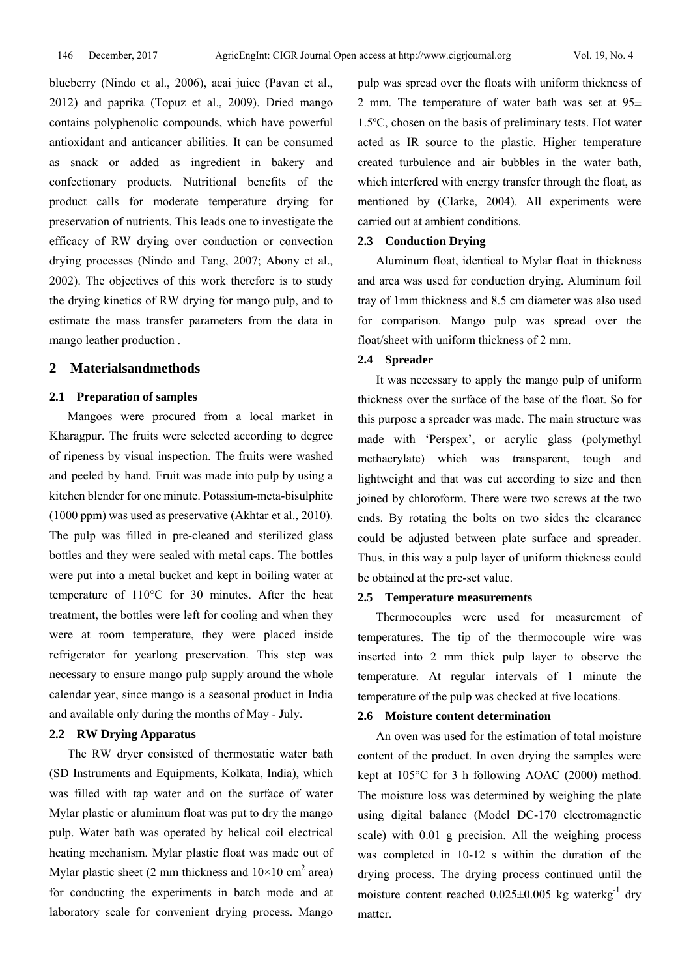blueberry (Nindo et al., 2006), acai juice (Pavan et al., 2012) and paprika (Topuz et al., 2009). Dried mango contains polyphenolic compounds, which have powerful antioxidant and anticancer abilities. It can be consumed as snack or added as ingredient in bakery and confectionary products. Nutritional benefits of the product calls for moderate temperature drying for preservation of nutrients. This leads one to investigate the efficacy of RW drying over conduction or convection drying processes (Nindo and Tang, 2007; Abony et al., 2002). The objectives of this work therefore is to study the drying kinetics of RW drying for mango pulp, and to estimate the mass transfer parameters from the data in mango leather production .

## **2 Materialsandmethods**

#### **2.1 Preparation of samples**

Mangoes were procured from a local market in Kharagpur. The fruits were selected according to degree of ripeness by visual inspection. The fruits were washed and peeled by hand. Fruit was made into pulp by using a kitchen blender for one minute. Potassium-meta-bisulphite (1000 ppm) was used as preservative (Akhtar et al., 2010). The pulp was filled in pre-cleaned and sterilized glass bottles and they were sealed with metal caps. The bottles were put into a metal bucket and kept in boiling water at temperature of 110°C for 30 minutes. After the heat treatment, the bottles were left for cooling and when they were at room temperature, they were placed inside refrigerator for yearlong preservation. This step was necessary to ensure mango pulp supply around the whole calendar year, since mango is a seasonal product in India and available only during the months of May - July.

#### **2.2 RW Drying Apparatus**

The RW dryer consisted of thermostatic water bath (SD Instruments and Equipments, Kolkata, India), which was filled with tap water and on the surface of water Mylar plastic or aluminum float was put to dry the mango pulp. Water bath was operated by helical coil electrical heating mechanism. Mylar plastic float was made out of Mylar plastic sheet (2 mm thickness and  $10 \times 10 \text{ cm}^2$  area) for conducting the experiments in batch mode and at laboratory scale for convenient drying process. Mango

pulp was spread over the floats with uniform thickness of 2 mm. The temperature of water bath was set at  $95\pm$ 1.5ºC, chosen on the basis of preliminary tests. Hot water acted as IR source to the plastic. Higher temperature created turbulence and air bubbles in the water bath, which interfered with energy transfer through the float, as mentioned by (Clarke, 2004). All experiments were carried out at ambient conditions.

#### **2.3 Conduction Drying**

Aluminum float, identical to Mylar float in thickness and area was used for conduction drying. Aluminum foil tray of 1mm thickness and 8.5 cm diameter was also used for comparison. Mango pulp was spread over the float/sheet with uniform thickness of 2 mm.

#### **2.4 Spreader**

It was necessary to apply the mango pulp of uniform thickness over the surface of the base of the float. So for this purpose a spreader was made. The main structure was made with 'Perspex', or acrylic glass (polymethyl methacrylate) which was transparent, tough and lightweight and that was cut according to size and then joined by chloroform. There were two screws at the two ends. By rotating the bolts on two sides the clearance could be adjusted between plate surface and spreader. Thus, in this way a pulp layer of uniform thickness could be obtained at the pre-set value.

## **2.5 Temperature measurements**

Thermocouples were used for measurement of temperatures. The tip of the thermocouple wire was inserted into 2 mm thick pulp layer to observe the temperature. At regular intervals of 1 minute the temperature of the pulp was checked at five locations.

#### **2.6 Moisture content determination**

An oven was used for the estimation of total moisture content of the product. In oven drying the samples were kept at 105°C for 3 h following AOAC (2000) method. The moisture loss was determined by weighing the plate using digital balance (Model DC-170 electromagnetic scale) with 0.01 g precision. All the weighing process was completed in 10-12 s within the duration of the drying process. The drying process continued until the moisture content reached  $0.025 \pm 0.005$  kg waterkg<sup>-1</sup> dry matter.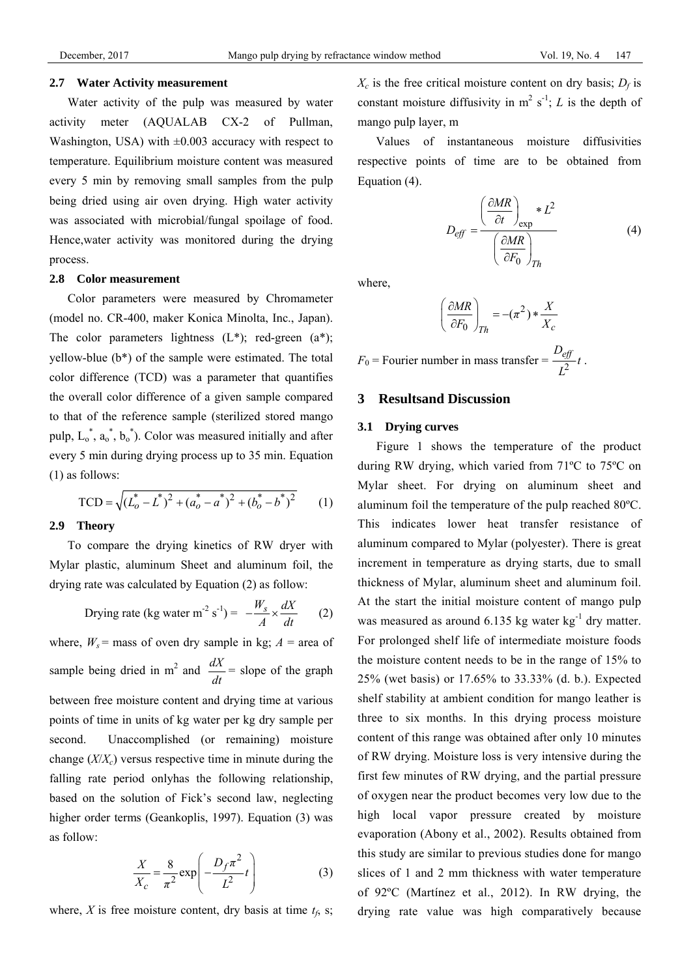#### **2.7 Water Activity measurement**

Water activity of the pulp was measured by water activity meter (AQUALAB CX-2 of Pullman, Washington, USA) with  $\pm 0.003$  accuracy with respect to temperature. Equilibrium moisture content was measured every 5 min by removing small samples from the pulp being dried using air oven drying. High water activity was associated with microbial/fungal spoilage of food. Hence,water activity was monitored during the drying process.

#### **2.8 Color measurement**

Color parameters were measured by Chromameter (model no. CR-400, maker Konica Minolta, Inc., Japan). The color parameters lightness  $(L^*)$ ; red-green  $(a^*)$ ; yellow-blue (b\*) of the sample were estimated. The total color difference (TCD) was a parameter that quantifies the overall color difference of a given sample compared to that of the reference sample (sterilized stored mango pulp,  $L_0^*$ ,  $a_0^*$ ,  $b_0^*$ ). Color was measured initially and after every 5 min during drying process up to 35 min. Equation (1) as follows:

$$
\text{TCD} = \sqrt{\left(L_o^* - L^*\right)^2 + \left(a_o^* - a^*\right)^2 + \left(b_o^* - b^*\right)^2} \tag{1}
$$

#### **2.9 Theory**

To compare the drying kinetics of RW dryer with Mylar plastic, aluminum Sheet and aluminum foil, the drying rate was calculated by Equation (2) as follow:

Drying rate (kg water m<sup>-2</sup> s<sup>-1</sup>) = 
$$
-\frac{W_s}{A} \times \frac{dX}{dt}
$$
 (2)

where,  $W_s$  = mass of oven dry sample in kg;  $A$  = area of sample being dried in m<sup>2</sup> and  $\frac{dX}{dt}$  = slope of the graph between free moisture content and drying time at various points of time in units of kg water per kg dry sample per second. Unaccomplished (or remaining) moisture change  $(X/X<sub>c</sub>)$  versus respective time in minute during the falling rate period onlyhas the following relationship, based on the solution of Fick's second law, neglecting higher order terms (Geankoplis, 1997). Equation (3) was as follow:

$$
\frac{X}{X_c} = \frac{8}{\pi^2} \exp\left(-\frac{D_f \pi^2}{L^2} t\right)
$$
 (3)

where,  $X$  is free moisture content, dry basis at time  $t_f$ , s;

 $X_c$  is the free critical moisture content on dry basis;  $D_f$  is constant moisture diffusivity in  $m^2 s^{-1}$ ; *L* is the depth of mango pulp layer, m

 Values of instantaneous moisture diffusivities respective points of time are to be obtained from Equation (4).

$$
D_{eff} = \frac{\left(\frac{\partial MR}{\partial t}\right)_{\exp} * L^2}{\left(\frac{\partial MR}{\partial F_0}\right)_{Th}}
$$
(4)

where,

$$
\left(\frac{\partial MR}{\partial F_0}\right)_{Th} = -(\pi^2) * \frac{X}{X_c}
$$

 $F_0$  = Fourier number in mass transfer =  $\frac{D_{\text{eff}}}{I^2} t$  $\frac{e y}{L^2} t$ .

## **3 Resultsand Discussion**

## **3.1 Drying curves**

Figure 1 shows the temperature of the product during RW drying, which varied from 71ºC to 75ºC on Mylar sheet. For drying on aluminum sheet and aluminum foil the temperature of the pulp reached 80ºC. This indicates lower heat transfer resistance of aluminum compared to Mylar (polyester). There is great increment in temperature as drying starts, due to small thickness of Mylar, aluminum sheet and aluminum foil. At the start the initial moisture content of mango pulp was measured as around  $6.135$  kg water kg<sup>-1</sup> dry matter. For prolonged shelf life of intermediate moisture foods the moisture content needs to be in the range of 15% to 25% (wet basis) or 17.65% to 33.33% (d. b.). Expected shelf stability at ambient condition for mango leather is three to six months. In this drying process moisture content of this range was obtained after only 10 minutes of RW drying. Moisture loss is very intensive during the first few minutes of RW drying, and the partial pressure of oxygen near the product becomes very low due to the high local vapor pressure created by moisture evaporation (Abony et al., 2002). Results obtained from this study are similar to previous studies done for mango slices of 1 and 2 mm thickness with water temperature of 92ºC (Martínez et al., 2012). In RW drying, the drying rate value was high comparatively because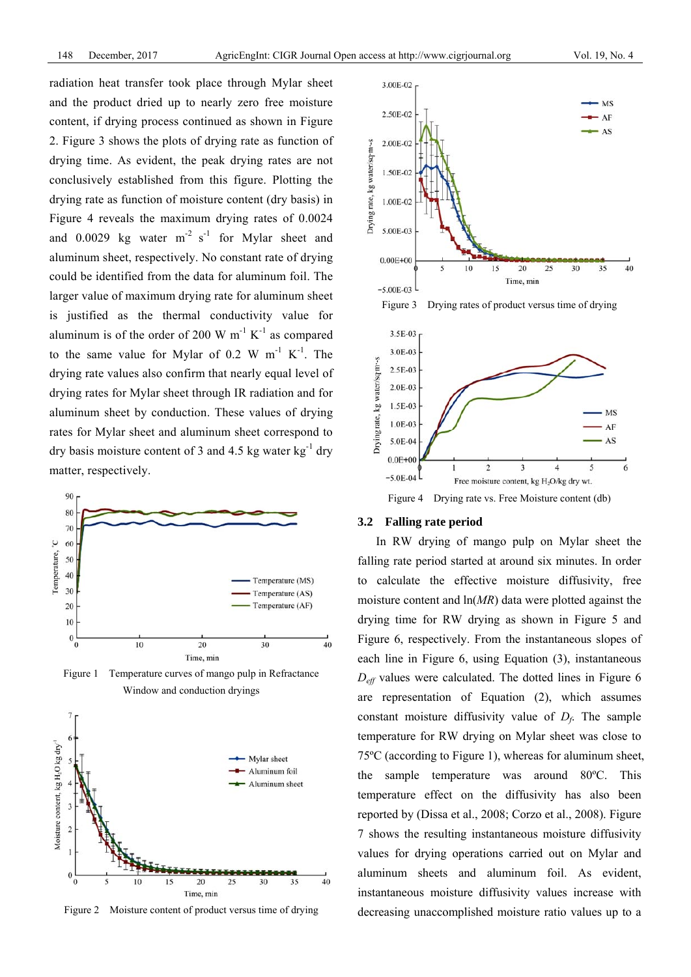radiation heat transfer took place through Mylar sheet and the product dried up to nearly zero free moisture content, if drying process continued as shown in Figure 2. Figure 3 shows the plots of drying rate as function of drying time. As evident, the peak drying rates are not conclusively established from this figure. Plotting the drying rate as function of moisture content (dry basis) in Figure 4 reveals the maximum drying rates of 0.0024 and  $0.0029$  kg water m<sup>-2</sup> s<sup>-1</sup> for Mylar sheet and aluminum sheet, respectively. No constant rate of drying could be identified from the data for aluminum foil. The larger value of maximum drying rate for aluminum sheet is justified as the thermal conductivity value for aluminum is of the order of 200 W  $m^{-1} K^{-1}$  as compared to the same value for Mylar of 0.2 W  $m^{-1} K^{-1}$ . The drying rate values also confirm that nearly equal level of drying rates for Mylar sheet through IR radiation and for aluminum sheet by conduction. These values of drying rates for Mylar sheet and aluminum sheet correspond to dry basis moisture content of 3 and 4.5 kg water  $kg^{-1}$  dry matter, respectively.



Figure 1 Temperature curves of mango pulp in Refractance Window and conduction dryings



Figure 2 Moisture content of product versus time of drying



Figure 3 Drying rates of product versus time of drying



#### **3.2 Falling rate period**

In RW drying of mango pulp on Mylar sheet the falling rate period started at around six minutes. In order to calculate the effective moisture diffusivity, free moisture content and ln(*MR*) data were plotted against the drying time for RW drying as shown in Figure 5 and Figure 6, respectively. From the instantaneous slopes of each line in Figure 6, using Equation (3), instantaneous *Deff* values were calculated. The dotted lines in Figure 6 are representation of Equation (2), which assumes constant moisture diffusivity value of  $D_f$ . The sample temperature for RW drying on Mylar sheet was close to 75ºC (according to Figure 1), whereas for aluminum sheet, the sample temperature was around 80ºC. This temperature effect on the diffusivity has also been reported by (Dissa et al., 2008; Corzo et al., 2008). Figure 7 shows the resulting instantaneous moisture diffusivity values for drying operations carried out on Mylar and aluminum sheets and aluminum foil. As evident, instantaneous moisture diffusivity values increase with decreasing unaccomplished moisture ratio values up to a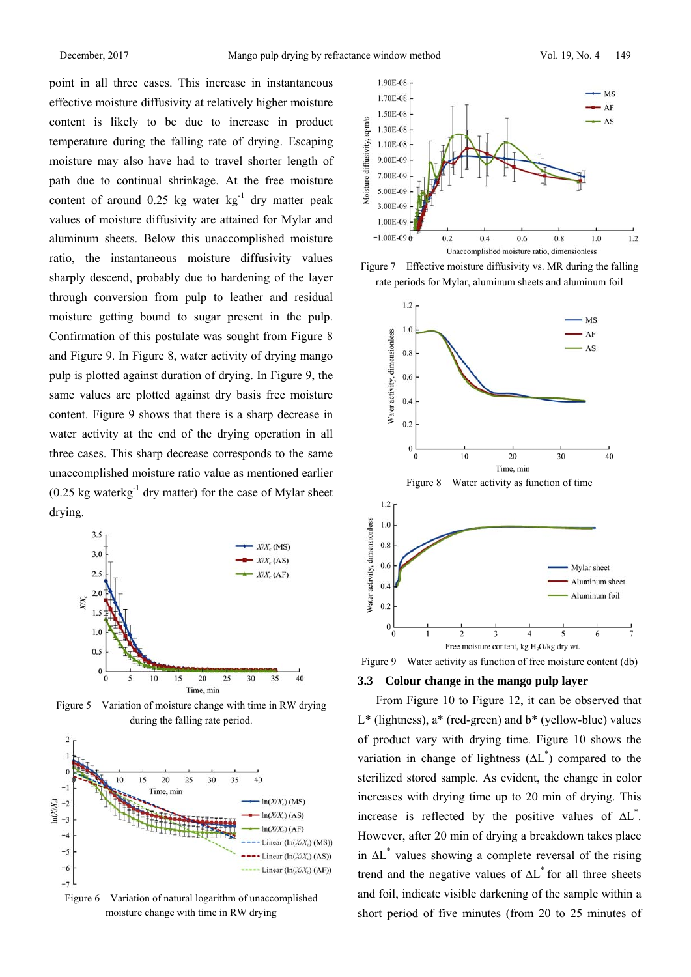point in all three cases. This increase in instantaneous effective moisture diffusivity at relatively higher moisture content is likely to be due to increase in product temperature during the falling rate of drying. Escaping moisture may also have had to travel shorter length of path due to continual shrinkage. At the free moisture content of around  $0.25 \text{ kg}$  water kg<sup>-1</sup> dry matter peak values of moisture diffusivity are attained for Mylar and aluminum sheets. Below this unaccomplished moisture ratio, the instantaneous moisture diffusivity values sharply descend, probably due to hardening of the layer through conversion from pulp to leather and residual moisture getting bound to sugar present in the pulp. Confirmation of this postulate was sought from Figure 8 and Figure 9. In Figure 8, water activity of drying mango pulp is plotted against duration of drying. In Figure 9, the same values are plotted against dry basis free moisture content. Figure 9 shows that there is a sharp decrease in water activity at the end of the drying operation in all three cases. This sharp decrease corresponds to the same unaccomplished moisture ratio value as mentioned earlier  $(0.25 \text{ kg waterkg}^{-1} \text{ dry matter})$  for the case of Mylar sheet drying.



Figure 5 Variation of moisture change with time in RW drying during the falling rate period.



Figure 6 Variation of natural logarithm of unaccomplished moisture change with time in RW drying







Figure 9 Water activity as function of free moisture content (db)

## **3.3 Colour change in the mango pulp layer**

From Figure 10 to Figure 12, it can be observed that  $L^*$  (lightness),  $a^*$  (red-green) and  $b^*$  (yellow-blue) values of product vary with drying time. Figure 10 shows the variation in change of lightness  $(\Delta L^*)$  compared to the sterilized stored sample. As evident, the change in color increases with drying time up to 20 min of drying. This increase is reflected by the positive values of ∆L\* . However, after 20 min of drying a breakdown takes place in ∆L\* values showing a complete reversal of the rising trend and the negative values of ∆L\* for all three sheets and foil, indicate visible darkening of the sample within a short period of five minutes (from 20 to 25 minutes of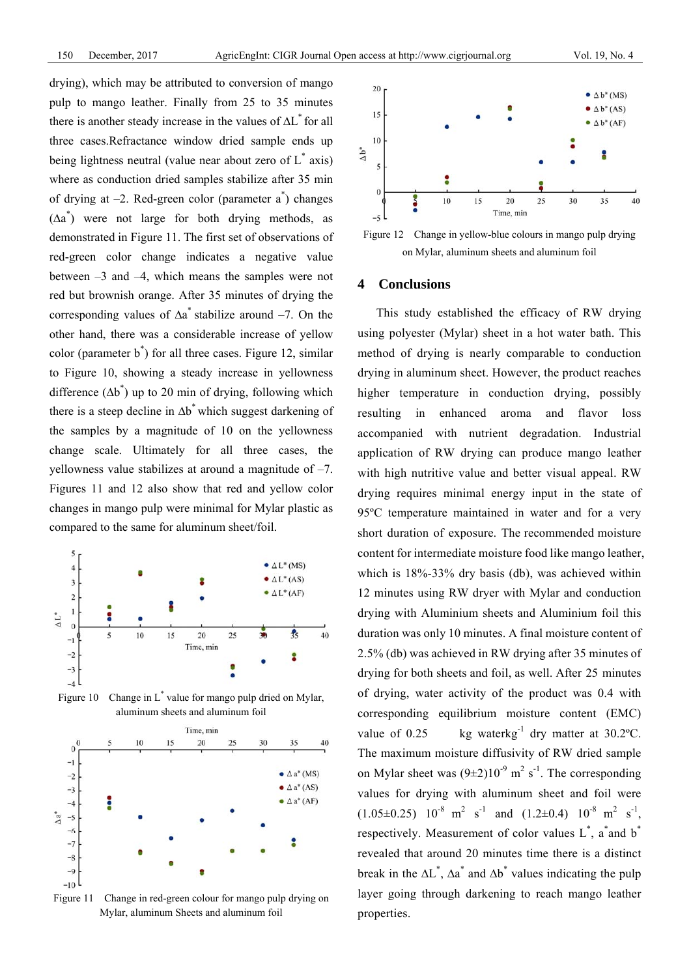drying), which may be attributed to conversion of mango pulp to mango leather. Finally from 25 to 35 minutes there is another steady increase in the values of ∆L\* for all three cases.Refractance window dried sample ends up being lightness neutral (value near about zero of  $L^*$  axis) where as conduction dried samples stabilize after 35 min of drying at  $-2$ . Red-green color (parameter  $a^*$ ) changes  $(\Delta a^*)$  were not large for both drying methods, as demonstrated in Figure 11. The first set of observations of red-green color change indicates a negative value between –3 and –4, which means the samples were not red but brownish orange. After 35 minutes of drying the corresponding values of ∆a \* stabilize around –7. On the other hand, there was a considerable increase of yellow color (parameter b\* ) for all three cases. Figure 12, similar to Figure 10, showing a steady increase in yellowness difference  $(\Delta b^*)$  up to 20 min of drying, following which there is a steep decline in ∆b\* which suggest darkening of the samples by a magnitude of 10 on the yellowness change scale. Ultimately for all three cases, the yellowness value stabilizes at around a magnitude of –7. Figures 11 and 12 also show that red and yellow color changes in mango pulp were minimal for Mylar plastic as compared to the same for aluminum sheet/foil.



Figure 10 Change in L<sup>\*</sup> value for mango pulp dried on Mylar, aluminum sheets and aluminum foil



Figure 11 Change in red-green colour for mango pulp drying on Mylar, aluminum Sheets and aluminum foil



Figure 12 Change in yellow-blue colours in mango pulp drying on Mylar, aluminum sheets and aluminum foil

## **4 Conclusions**

This study established the efficacy of RW drying using polyester (Mylar) sheet in a hot water bath. This method of drying is nearly comparable to conduction drying in aluminum sheet. However, the product reaches higher temperature in conduction drying, possibly resulting in enhanced aroma and flavor loss accompanied with nutrient degradation. Industrial application of RW drying can produce mango leather with high nutritive value and better visual appeal. RW drying requires minimal energy input in the state of 95ºC temperature maintained in water and for a very short duration of exposure. The recommended moisture content for intermediate moisture food like mango leather, which is 18%-33% dry basis (db), was achieved within 12 minutes using RW dryer with Mylar and conduction drying with Aluminium sheets and Aluminium foil this duration was only 10 minutes. A final moisture content of 2.5% (db) was achieved in RW drying after 35 minutes of drying for both sheets and foil, as well. After 25 minutes of drying, water activity of the product was 0.4 with corresponding equilibrium moisture content (EMC) value of  $0.25$  kg waterkg<sup>-1</sup> dry matter at  $30.2$ °C. The maximum moisture diffusivity of RW dried sample on Mylar sheet was  $(9\pm 2)10^{-9}$  m<sup>2</sup> s<sup>-1</sup>. The corresponding values for drying with aluminum sheet and foil were  $(1.05\pm0.25)$   $10^{-8}$  m<sup>2</sup> s<sup>-1</sup> and  $(1.2\pm0.4)$   $10^{-8}$  m<sup>2</sup> s<sup>-1</sup>, respectively. Measurement of color values  $L^*$ , a and  $b^*$ revealed that around 20 minutes time there is a distinct break in the  $\Delta L^*$ ,  $\Delta a^*$  and  $\Delta b^*$  values indicating the pulp layer going through darkening to reach mango leather properties.